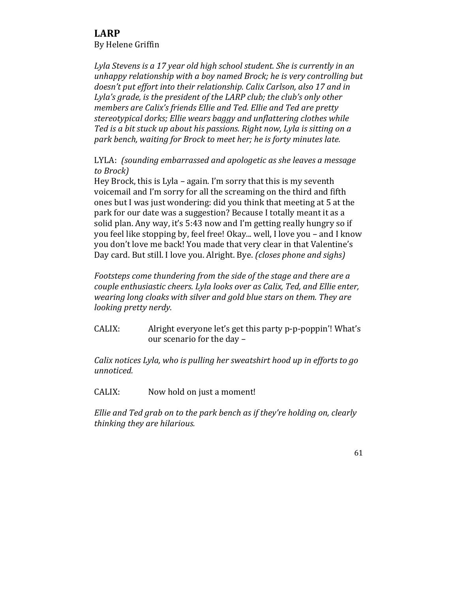Lyla Stevens is a 17 year old high school student. She is currently in an *unhappy relationship with a boy named Brock; he is very controlling but* doesn't put effort into their relationship. Calix Carlson, also 17 and in Lyla's grade, is the president of the LARP club; the club's only other *members are Calix's friends Ellie and Ted. Ellie and Ted are pretty stereotypical dorks; Ellie wears baggy and unflattering clothes while Ted* is a bit stuck up about his passions. Right now, Lyla is sitting on a park bench, waiting for Brock to meet her; he is forty minutes late.

LYLA: *(sounding embarrassed and apologetic as she leaves a message to Brock)*

Hey Brock, this is Lyla – again. I'm sorry that this is my seventh voicemail and I'm sorry for all the screaming on the third and fifth ones but I was just wondering: did you think that meeting at 5 at the park for our date was a suggestion? Because I totally meant it as a solid plan. Any way, it's 5:43 now and I'm getting really hungry so if you feel like stopping by, feel free! Okay... well, I love you – and I know you don't love me back! You made that very clear in that Valentine's Day card. But still. I love you. Alright. Bye. *(closes phone and sighs)* 

Footsteps come thundering from the side of the stage and there are a *couple enthusiastic cheers. Lyla looks over as Calix, Ted, and Ellie enter,* wearing long cloaks with silver and gold blue stars on them. They are *looking pretty nerdy.* 

CALIX: Alright everyone let's get this party p-p-poppin'! What's our scenario for the day -

*Calix notices Lyla, who is pulling her sweatshirt hood up in efforts to go unnoticed.*

CALIX: Now hold on just a moment!

*Ellie* and Ted grab on to the park bench as if they're holding on, clearly *thinking they are hilarious.*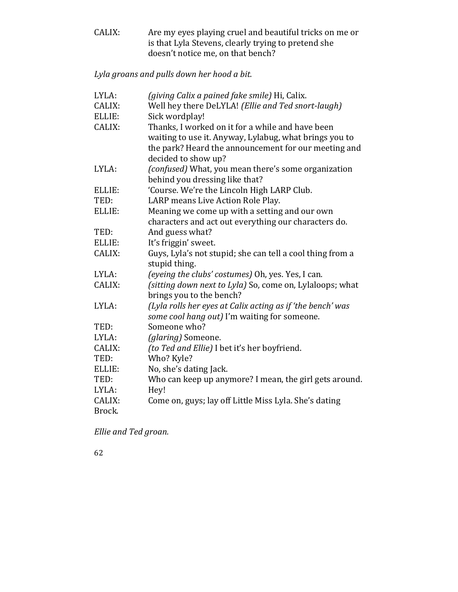CALIX: Are my eyes playing cruel and beautiful tricks on me or is that Lyla Stevens, clearly trying to pretend she doesn't notice me, on that bench?

Lyla groans and pulls down her hood a bit.

| LYLA:  | (giving Calix a pained fake smile) Hi, Calix.                                        |
|--------|--------------------------------------------------------------------------------------|
| CALIX: | Well hey there DeLYLA! (Ellie and Ted snort-laugh)                                   |
| ELLIE: | Sick wordplay!                                                                       |
| CALIX: | Thanks, I worked on it for a while and have been                                     |
|        | waiting to use it. Anyway, Lylabug, what brings you to                               |
|        | the park? Heard the announcement for our meeting and                                 |
|        | decided to show up?                                                                  |
| LYLA:  | (confused) What, you mean there's some organization                                  |
|        | behind you dressing like that?                                                       |
| ELLIE: | 'Course. We're the Lincoln High LARP Club.                                           |
| TED:   | LARP means Live Action Role Play.                                                    |
| ELLIE: | Meaning we come up with a setting and our own                                        |
|        | characters and act out everything our characters do.                                 |
| TED:   | And guess what?                                                                      |
| ELLIE: | It's friggin' sweet.                                                                 |
| CALIX: | Guys, Lyla's not stupid; she can tell a cool thing from a                            |
|        | stupid thing.                                                                        |
| LYLA:  | (eyeing the clubs' costumes) Oh, yes. Yes, I can.                                    |
| CALIX: | (sitting down next to Lyla) So, come on, Lylaloops; what<br>brings you to the bench? |
| LYLA:  | (Lyla rolls her eyes at Calix acting as if 'the bench' was                           |
|        | some cool hang out) I'm waiting for someone.                                         |
| TED:   | Someone who?                                                                         |
| LYLA:  | (glaring) Someone.                                                                   |
| CALIX: | (to Ted and Ellie) I bet it's her boyfriend.                                         |
| TED:   | Who? Kyle?                                                                           |
| ELLIE: | No, she's dating Jack.                                                               |
| TED:   | Who can keep up anymore? I mean, the girl gets around.                               |
| LYLA:  | Hey!                                                                                 |
| CALIX: | Come on, guys; lay off Little Miss Lyla. She's dating                                |
| Brock. |                                                                                      |

Ellie and Ted groan.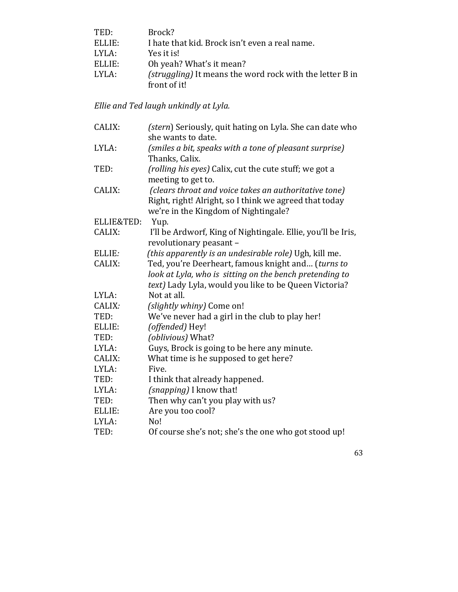| TED:   | Brock?                                                          |
|--------|-----------------------------------------------------------------|
| ELLIE: | I hate that kid. Brock isn't even a real name.                  |
| LYLA:  | Yes it is!                                                      |
| ELLIE: | Oh yeah? What's it mean?                                        |
| LYLA:  | <i>(struggling)</i> It means the word rock with the letter B in |
|        | front of it!                                                    |

## *Ellie and Ted laugh unkindly at Lyla.*

| CALIX:     | (stern) Seriously, quit hating on Lyla. She can date who<br>she wants to date.                 |  |
|------------|------------------------------------------------------------------------------------------------|--|
| LYLA:      | (smiles a bit, speaks with a tone of pleasant surprise)<br>Thanks, Calix.                      |  |
| TED:       | (rolling his eyes) Calix, cut the cute stuff; we got a<br>meeting to get to.                   |  |
| CALIX:     | (clears throat and voice takes an authoritative tone)                                          |  |
|            | Right, right! Alright, so I think we agreed that today<br>we're in the Kingdom of Nightingale? |  |
| ELLIE&TED: | Yup.                                                                                           |  |
| CALIX:     | I'll be Ardworf, King of Nightingale. Ellie, you'll be Iris,<br>revolutionary peasant -        |  |
| ELLIE:     | (this apparently is an undesirable role) Ugh, kill me.                                         |  |
| CALIX:     | Ted, you're Deerheart, famous knight and (turns to                                             |  |
|            | look at Lyla, who is sitting on the bench pretending to                                        |  |
|            | text) Lady Lyla, would you like to be Queen Victoria?                                          |  |
| LYLA:      | Not at all.                                                                                    |  |
| CALIX:     | (slightly whiny) Come on!                                                                      |  |
| TED:       | We've never had a girl in the club to play her!                                                |  |
| ELLIE:     | (offended) Hey!                                                                                |  |
| TED:       | (oblivious) What?                                                                              |  |
| LYLA:      | Guys, Brock is going to be here any minute.                                                    |  |
| CALIX:     | What time is he supposed to get here?                                                          |  |
| LYLA:      | Five.                                                                                          |  |
| TED:       | I think that already happened.                                                                 |  |
| LYLA:      | $(snapping)$ I know that!                                                                      |  |
| TED:       | Then why can't you play with us?                                                               |  |
| ELLIE:     | Are you too cool?                                                                              |  |
| LYLA:      | No!                                                                                            |  |
| TED:       | Of course she's not; she's the one who got stood up!                                           |  |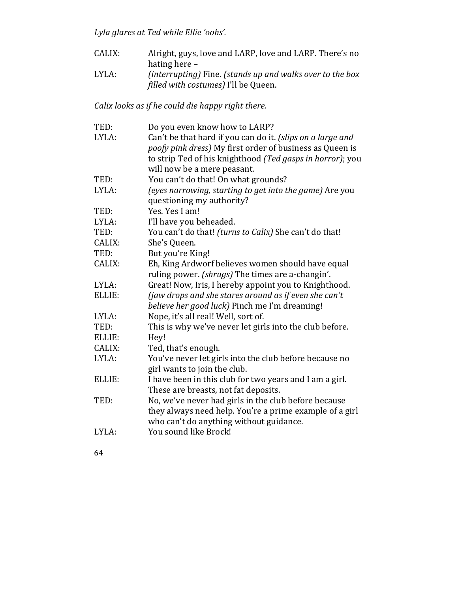Lyla glares at Ted while Ellie 'oohs'.

- CALIX: Alright, guys, love and LARP, love and LARP. There's no hating here  $-$
- LYLA: *(interrupting)* Fine. (stands up and walks over to the box *filled* with costumes) I'll be Queen.

## *Calix looks as if he could die happy right there.*

| TED:   | Do you even know how to LARP?                              |  |
|--------|------------------------------------------------------------|--|
| LYLA:  | Can't be that hard if you can do it. (slips on a large and |  |
|        | poofy pink dress) My first order of business as Queen is   |  |
|        | to strip Ted of his knighthood (Ted gasps in horror); you  |  |
|        | will now be a mere peasant.                                |  |
| TED:   | You can't do that! On what grounds?                        |  |
| LYLA:  | (eyes narrowing, starting to get into the game) Are you    |  |
|        | questioning my authority?                                  |  |
| TED:   | Yes. Yes I am!                                             |  |
| LYLA:  | I'll have you beheaded.                                    |  |
| TED:   | You can't do that! (turns to Calix) She can't do that!     |  |
| CALIX: | She's Queen.                                               |  |
| TED:   | But you're King!                                           |  |
| CALIX: | Eh, King Ardworf believes women should have equal          |  |
|        | ruling power. (shrugs) The times are a-changin'.           |  |
| LYLA:  | Great! Now, Iris, I hereby appoint you to Knighthood.      |  |
| ELLIE: | (jaw drops and she stares around as if even she can't      |  |
|        | believe her good luck) Pinch me I'm dreaming!              |  |
| LYLA:  | Nope, it's all real! Well, sort of.                        |  |
| TED:   | This is why we've never let girls into the club before.    |  |
| ELLIE: | Hey!                                                       |  |
| CALIX: | Ted, that's enough.                                        |  |
| LYLA:  | You've never let girls into the club before because no     |  |
|        | girl wants to join the club.                               |  |
| ELLIE: | I have been in this club for two years and I am a girl.    |  |
|        | These are breasts, not fat deposits.                       |  |
| TED:   | No, we've never had girls in the club before because       |  |
|        | they always need help. You're a prime example of a girl    |  |
|        | who can't do anything without guidance.                    |  |
| LYLA:  | You sound like Brock!                                      |  |
|        |                                                            |  |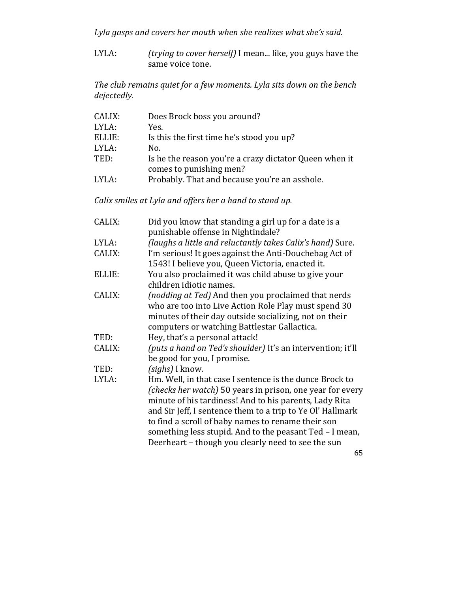Lyla gasps and covers her mouth when she realizes what she's said.

LYLA: *(trying to cover herself)* I mean... like, you guys have the same voice tone.

The club remains quiet for a few moments. Lyla sits down on the bench *dejectedly.*

| CALIX: | Does Brock boss you around?                            |
|--------|--------------------------------------------------------|
| LYLA:  | Yes.                                                   |
| ELLIE: | Is this the first time he's stood you up?              |
| LYLA:  | No.                                                    |
| TED:   | Is he the reason you're a crazy dictator Queen when it |
|        | comes to punishing men?                                |
| LYLA:  | Probably. That and because you're an asshole.          |

*Calix smiles at Lyla and offers her a hand to stand up.* 

| Did you know that standing a girl up for a date is a<br>punishable offense in Nightindale?                                                                                                                                                                                                                                                                                                                          |
|---------------------------------------------------------------------------------------------------------------------------------------------------------------------------------------------------------------------------------------------------------------------------------------------------------------------------------------------------------------------------------------------------------------------|
| (laughs a little and reluctantly takes Calix's hand) Sure.                                                                                                                                                                                                                                                                                                                                                          |
| I'm serious! It goes against the Anti-Douchebag Act of<br>1543! I believe you, Queen Victoria, enacted it.                                                                                                                                                                                                                                                                                                          |
| You also proclaimed it was child abuse to give your<br>children idiotic names.                                                                                                                                                                                                                                                                                                                                      |
| (nodding at Ted) And then you proclaimed that nerds<br>who are too into Live Action Role Play must spend 30<br>minutes of their day outside socializing, not on their<br>computers or watching Battlestar Gallactica.                                                                                                                                                                                               |
| Hey, that's a personal attack!                                                                                                                                                                                                                                                                                                                                                                                      |
| (puts a hand on Ted's shoulder) It's an intervention; it'll<br>be good for you, I promise.                                                                                                                                                                                                                                                                                                                          |
| (sighs) I know.                                                                                                                                                                                                                                                                                                                                                                                                     |
| Hm. Well, in that case I sentence is the dunce Brock to<br>(checks her watch) 50 years in prison, one year for every<br>minute of his tardiness! And to his parents, Lady Rita<br>and Sir Jeff, I sentence them to a trip to Ye Ol' Hallmark<br>to find a scroll of baby names to rename their son<br>something less stupid. And to the peasant Ted - I mean,<br>Deerheart – though you clearly need to see the sun |
|                                                                                                                                                                                                                                                                                                                                                                                                                     |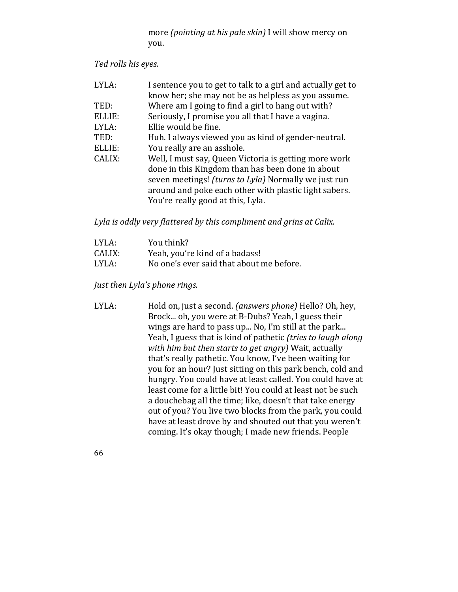more *(pointing at his pale skin)* I will show mercy on you.

## *Ted rolls his eyes.*

| LYLA:  | I sentence you to get to talk to a girl and actually get to |
|--------|-------------------------------------------------------------|
|        | know her; she may not be as helpless as you assume.         |
| TED:   | Where am I going to find a girl to hang out with?           |
| ELLIE: | Seriously, I promise you all that I have a vagina.          |
| LYLA:  | Ellie would be fine.                                        |
| TED:   | Huh. I always viewed you as kind of gender-neutral.         |
| ELLIE: | You really are an asshole.                                  |
| CALIX: | Well, I must say, Queen Victoria is getting more work       |
|        | done in this Kingdom than has been done in about            |
|        | seven meetings! (turns to Lyla) Normally we just run        |
|        | around and poke each other with plastic light sabers.       |
|        | You're really good at this, Lyla.                           |

Lyla is oddly very flattered by this compliment and grins at Calix.

| LYLA:  | You think?                               |
|--------|------------------------------------------|
| CALIX: | Yeah, you're kind of a badass!           |
| LYLA:  | No one's ever said that about me before. |

*Just then Lyla's phone rings.* 

- LYLA: Hold on, just a second. *(answers phone)* Hello? Oh, hey, Brock... oh, you were at B-Dubs? Yeah, I guess their wings are hard to pass up... No, I'm still at the park... Yeah, I guess that is kind of pathetic *(tries to laugh along* with him but then starts to get angry) Wait, actually that's really pathetic. You know, I've been waiting for you for an hour? Just sitting on this park bench, cold and hungry. You could have at least called. You could have at least come for a little bit! You could at least not be such a douchebag all the time; like, doesn't that take energy out of you? You live two blocks from the park, you could have at least drove by and shouted out that you weren't coming. It's okay though; I made new friends. People
- 66